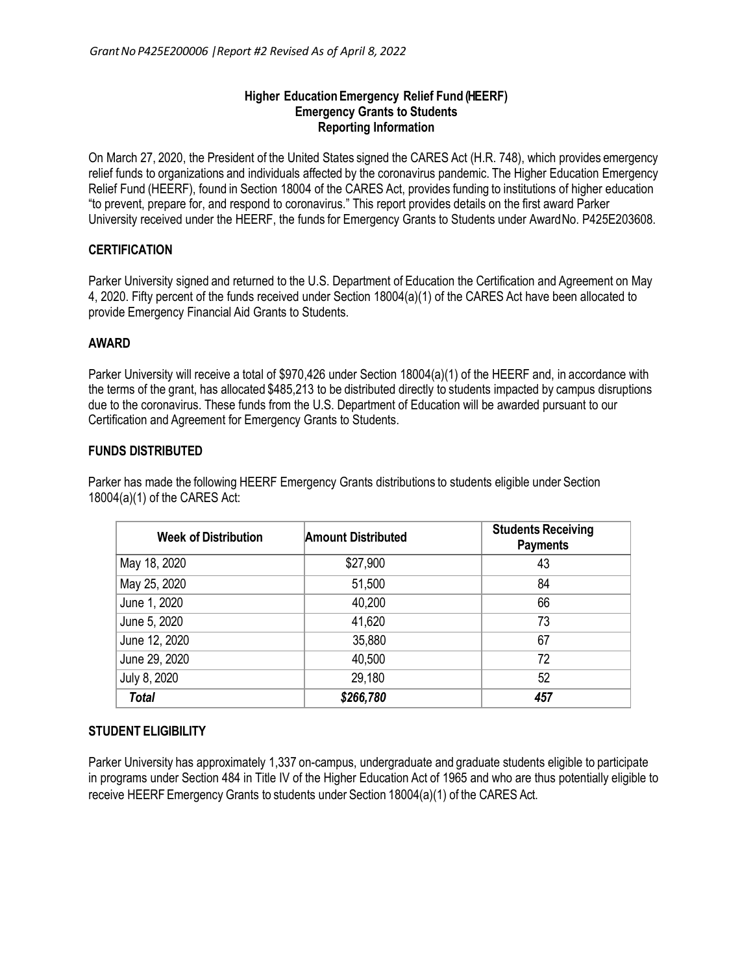#### **Higher EducationEmergency Relief Fund (HEERF) Emergency Grants to Students Reporting Information**

On March 27, 2020, the President of the United States signed the CARES Act (H.R. 748), which provides emergency relief funds to organizations and individuals affected by the coronavirus pandemic. The Higher Education Emergency Relief Fund (HEERF), found in Section 18004 of the CARES Act, provides funding to institutions of higher education "to prevent, prepare for, and respond to coronavirus." This report provides details on the first award Parker University received under the HEERF, the funds for Emergency Grants to Students under AwardNo. P425E203608.

# **CERTIFICATION**

Parker University signed and returned to the U.S. Department of Education the Certification and Agreement on May 4, 2020. Fifty percent of the funds received under Section 18004(a)(1) of the CARES Act have been allocated to provide Emergency Financial Aid Grants to Students.

### **AWARD**

Parker University will receive a total of \$970,426 under Section 18004(a)(1) of the HEERF and, in accordance with the terms of the grant, has allocated \$485,213 to be distributed directly to students impacted by campus disruptions due to the coronavirus. These funds from the U.S. Department of Education will be awarded pursuant to our Certification and Agreement for Emergency Grants to Students.

### **FUNDS DISTRIBUTED**

Parker has made the following HEERF Emergency Grants distributions to students eligible under Section 18004(a)(1) of the CARES Act:

| <b>Week of Distribution</b> | <b>Amount Distributed</b> | <b>Students Receiving</b><br><b>Payments</b> |
|-----------------------------|---------------------------|----------------------------------------------|
| May 18, 2020                | \$27,900                  | 43                                           |
| May 25, 2020                | 51,500                    | 84                                           |
| June 1, 2020                | 40,200                    | 66                                           |
| June 5, 2020                | 41,620                    | 73                                           |
| June 12, 2020               | 35,880                    | 67                                           |
| June 29, 2020               | 40,500                    | 72                                           |
| July 8, 2020                | 29,180                    | 52                                           |
| <b>Total</b>                | \$266,780                 | 457                                          |

# **STUDENT ELIGIBILITY**

Parker University has approximately 1,337 on-campus, undergraduate and graduate students eligible to participate in programs under Section 484 in Title IV of the Higher Education Act of 1965 and who are thus potentially eligible to receive HEERF Emergency Grants to students under Section 18004(a)(1) of the CARES Act.